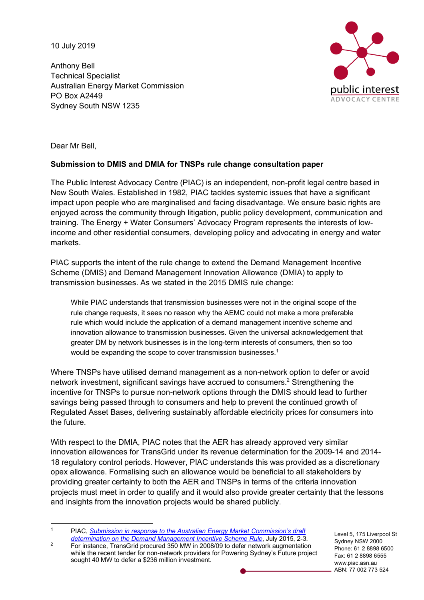10 July 2019

Anthony Bell Technical Specialist Australian Energy Market Commission PO Box A2449 Sydney South NSW 1235



Dear Mr Bell,

## **Submission to DMIS and DMIA for TNSPs rule change consultation paper**

The Public Interest Advocacy Centre (PIAC) is an independent, non-profit legal centre based in New South Wales. Established in 1982, PIAC tackles systemic issues that have a significant impact upon people who are marginalised and facing disadvantage. We ensure basic rights are enjoyed across the community through litigation, public policy development, communication and training. The Energy + Water Consumers' Advocacy Program represents the interests of lowincome and other residential consumers, developing policy and advocating in energy and water markets.

PIAC supports the intent of the rule change to extend the Demand Management Incentive Scheme (DMIS) and Demand Management Innovation Allowance (DMIA) to apply to transmission businesses. As we stated in the 2015 DMIS rule change:

While PIAC understands that transmission businesses were not in the original scope of the rule change requests, it sees no reason why the AEMC could not make a more preferable rule which would include the application of a demand management incentive scheme and innovation allowance to transmission businesses. Given the universal acknowledgement that greater DM by network businesses is in the long-term interests of consumers, then so too would be expanding the scope to cover transmission businesses.<sup>1</sup>

Where TNSPs have utilised demand management as a non-network option to defer or avoid network investment, significant savings have accrued to consumers.<sup>2</sup> Strengthening the incentive for TNSPs to pursue non-network options through the DMIS should lead to further savings being passed through to consumers and help to prevent the continued growth of Regulated Asset Bases, delivering sustainably affordable electricity prices for consumers into the future.

With respect to the DMIA, PIAC notes that the AER has already approved very similar innovation allowances for TransGrid under its revenue determination for the 2009-14 and 2014- 18 regulatory control periods. However, PIAC understands this was provided as a discretionary opex allowance. Formalising such an allowance would be beneficial to all stakeholders by providing greater certainty to both the AER and TNSPs in terms of the criteria innovation projects must meet in order to qualify and it would also provide greater certainty that the lessons and insights from the innovation projects would be shared publicly.

 1 PIAC, *Submission in response to the Australian Energy Market Commission's draft determination on the Demand Management Incentive Scheme Rule*, July 2015, 2-3.

Level 5, 175 Liverpool St Sydney NSW 2000 Phone: 61 2 8898 6500 Fax: 61 2 8898 6555 www.piac.asn.au ABN: 77 002 773 524

<sup>&</sup>lt;sup>2</sup> For instance, TransGrid procured 350 MW in 2008/09 to defer network augmentation while the recent tender for non-network providers for Powering Sydney's Future project sought 40 MW to defer a \$236 million investment.